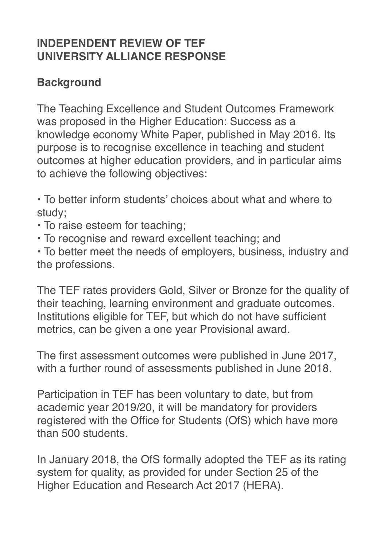# **INDEPENDENT REVIEW OF TEF UNIVERSITY ALLIANCE RESPONSE**

# **Background**

The Teaching Excellence and Student Outcomes Framework was proposed in the Higher Education: Success as a knowledge economy White Paper, published in May 2016. Its purpose is to recognise excellence in teaching and student outcomes at higher education providers, and in particular aims to achieve the following objectives:

• To better inform students' choices about what and where to study;

- To raise esteem for teaching;
- To recognise and reward excellent teaching; and

• To better meet the needs of employers, business, industry and the professions.

The TEF rates providers Gold, Silver or Bronze for the quality of their teaching, learning environment and graduate outcomes. Institutions eligible for TEF, but which do not have sufficient metrics, can be given a one year Provisional award.

The first assessment outcomes were published in June 2017, with a further round of assessments published in June 2018.

Participation in TEF has been voluntary to date, but from academic year 2019/20, it will be mandatory for providers registered with the Office for Students (OfS) which have more than 500 students.

In January 2018, the OfS formally adopted the TEF as its rating system for quality, as provided for under Section 25 of the Higher Education and Research Act 2017 (HERA).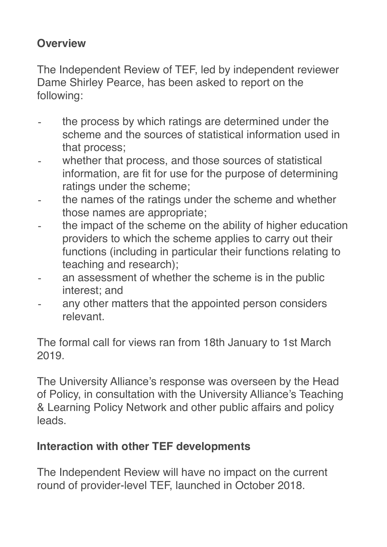# **Overview**

The Independent Review of TEF, led by independent reviewer Dame Shirley Pearce, has been asked to report on the following:

- ⁃ the process by which ratings are determined under the scheme and the sources of statistical information used in that process;
- ⁃ whether that process, and those sources of statistical information, are fit for use for the purpose of determining ratings under the scheme;
- the names of the ratings under the scheme and whether those names are appropriate;
- the impact of the scheme on the ability of higher education providers to which the scheme applies to carry out their functions (including in particular their functions relating to teaching and research);
- an assessment of whether the scheme is in the public interest; and
- any other matters that the appointed person considers relevant.

The formal call for views ran from 18th January to 1st March 2019.

The University Alliance's response was overseen by the Head of Policy, in consultation with the University Alliance's Teaching & Learning Policy Network and other public affairs and policy leads.

# **Interaction with other TEF developments**

The Independent Review will have no impact on the current round of provider-level TEF, launched in October 2018.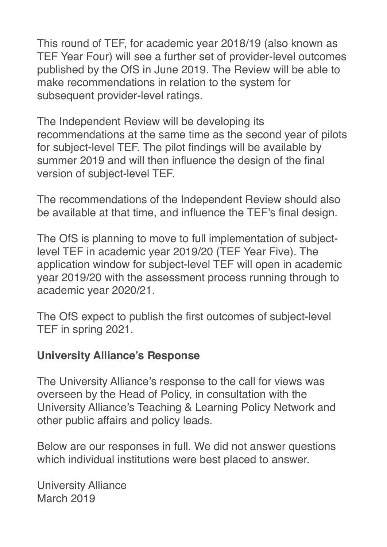This round of TEF, for academic year 2018/19 (also known as TEF Year Four) will see a further set of provider-level outcomes published by the OfS in June 2019. The Review will be able to make recommendations in relation to the system for subsequent provider-level ratings.

The Independent Review will be developing its recommendations at the same time as the second year of pilots for subject-level TEF. The pilot findings will be available by summer 2019 and will then influence the design of the final version of subject-level TEF.

The recommendations of the Independent Review should also be available at that time, and influence the TEF's final design.

The OfS is planning to move to full implementation of subjectlevel TEF in academic year 2019/20 (TEF Year Five). The application window for subject-level TEF will open in academic year 2019/20 with the assessment process running through to academic year 2020/21.

The OfS expect to publish the first outcomes of subject-level TEF in spring 2021.

#### **University Alliance's Response**

The University Alliance's response to the call for views was overseen by the Head of Policy, in consultation with the University Alliance's Teaching & Learning Policy Network and other public affairs and policy leads.

Below are our responses in full. We did not answer questions which individual institutions were best placed to answer.

University Alliance March 2019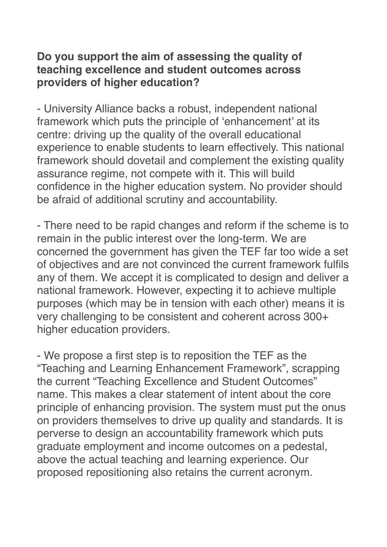#### **Do you support the aim of assessing the quality of teaching excellence and student outcomes across providers of higher education?**

- University Alliance backs a robust, independent national framework which puts the principle of 'enhancement' at its centre: driving up the quality of the overall educational experience to enable students to learn effectively. This national framework should dovetail and complement the existing quality assurance regime, not compete with it. This will build confidence in the higher education system. No provider should be afraid of additional scrutiny and accountability.

- There need to be rapid changes and reform if the scheme is to remain in the public interest over the long-term. We are concerned the government has given the TEF far too wide a set of objectives and are not convinced the current framework fulfils any of them. We accept it is complicated to design and deliver a national framework. However, expecting it to achieve multiple purposes (which may be in tension with each other) means it is very challenging to be consistent and coherent across 300+ higher education providers.

- We propose a first step is to reposition the TEF as the "Teaching and Learning Enhancement Framework", scrapping the current "Teaching Excellence and Student Outcomes" name. This makes a clear statement of intent about the core principle of enhancing provision. The system must put the onus on providers themselves to drive up quality and standards. It is perverse to design an accountability framework which puts graduate employment and income outcomes on a pedestal, above the actual teaching and learning experience. Our proposed repositioning also retains the current acronym.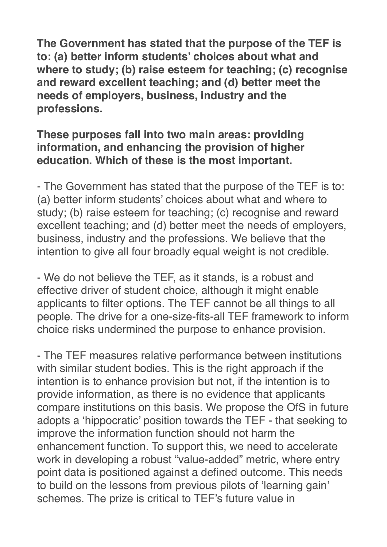**The Government has stated that the purpose of the TEF is to: (a) better inform students' choices about what and where to study; (b) raise esteem for teaching; (c) recognise and reward excellent teaching; and (d) better meet the needs of employers, business, industry and the professions.**

#### **These purposes fall into two main areas: providing information, and enhancing the provision of higher education. Which of these is the most important.**

- The Government has stated that the purpose of the TEF is to: (a) better inform students' choices about what and where to study; (b) raise esteem for teaching; (c) recognise and reward excellent teaching; and (d) better meet the needs of employers, business, industry and the professions. We believe that the intention to give all four broadly equal weight is not credible.

- We do not believe the TEF, as it stands, is a robust and effective driver of student choice, although it might enable applicants to filter options. The TEF cannot be all things to all people. The drive for a one-size-fits-all TEF framework to inform choice risks undermined the purpose to enhance provision.

- The TEF measures relative performance between institutions with similar student bodies. This is the right approach if the intention is to enhance provision but not, if the intention is to provide information, as there is no evidence that applicants compare institutions on this basis. We propose the OfS in future adopts a 'hippocratic' position towards the TEF - that seeking to improve the information function should not harm the enhancement function. To support this, we need to accelerate work in developing a robust "value-added" metric, where entry point data is positioned against a defined outcome. This needs to build on the lessons from previous pilots of 'learning gain' schemes. The prize is critical to TEF's future value in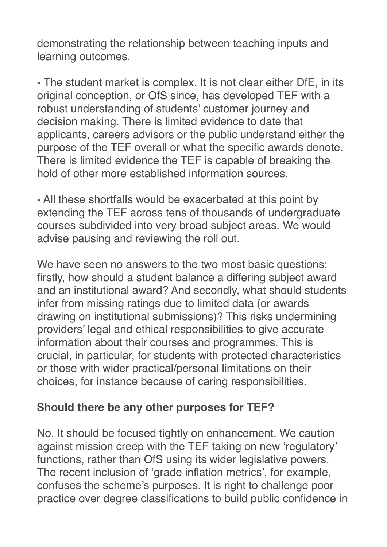demonstrating the relationship between teaching inputs and learning outcomes.

- The student market is complex. It is not clear either DfE, in its original conception, or OfS since, has developed TEF with a robust understanding of students' customer journey and decision making. There is limited evidence to date that applicants, careers advisors or the public understand either the purpose of the TEF overall or what the specific awards denote. There is limited evidence the TEF is capable of breaking the hold of other more established information sources.

- All these shortfalls would be exacerbated at this point by extending the TEF across tens of thousands of undergraduate courses subdivided into very broad subject areas. We would advise pausing and reviewing the roll out.

We have seen no answers to the two most basic questions: firstly, how should a student balance a differing subject award and an institutional award? And secondly, what should students infer from missing ratings due to limited data (or awards drawing on institutional submissions)? This risks undermining providers' legal and ethical responsibilities to give accurate information about their courses and programmes. This is crucial, in particular, for students with protected characteristics or those with wider practical/personal limitations on their choices, for instance because of caring responsibilities.

### **Should there be any other purposes for TEF?**

No. It should be focused tightly on enhancement. We caution against mission creep with the TEF taking on new 'regulatory' functions, rather than OfS using its wider legislative powers. The recent inclusion of 'grade inflation metrics', for example, confuses the scheme's purposes. It is right to challenge poor practice over degree classifications to build public confidence in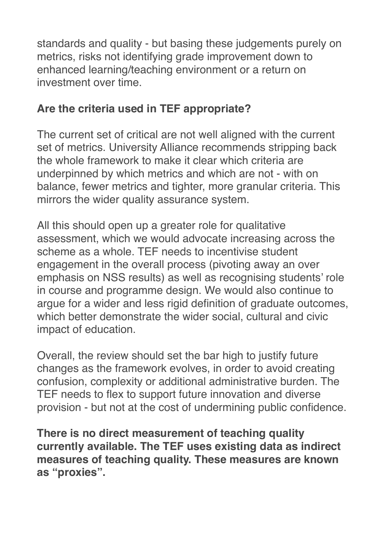standards and quality - but basing these judgements purely on metrics, risks not identifying grade improvement down to enhanced learning/teaching environment or a return on investment over time.

# **Are the criteria used in TEF appropriate?**

The current set of critical are not well aligned with the current set of metrics. University Alliance recommends stripping back the whole framework to make it clear which criteria are underpinned by which metrics and which are not - with on balance, fewer metrics and tighter, more granular criteria. This mirrors the wider quality assurance system.

All this should open up a greater role for qualitative assessment, which we would advocate increasing across the scheme as a whole. TEF needs to incentivise student engagement in the overall process (pivoting away an over emphasis on NSS results) as well as recognising students' role in course and programme design. We would also continue to argue for a wider and less rigid definition of graduate outcomes, which better demonstrate the wider social, cultural and civic impact of education.

Overall, the review should set the bar high to justify future changes as the framework evolves, in order to avoid creating confusion, complexity or additional administrative burden. The TEF needs to flex to support future innovation and diverse provision - but not at the cost of undermining public confidence.

**There is no direct measurement of teaching quality currently available. The TEF uses existing data as indirect measures of teaching quality. These measures are known as "proxies".**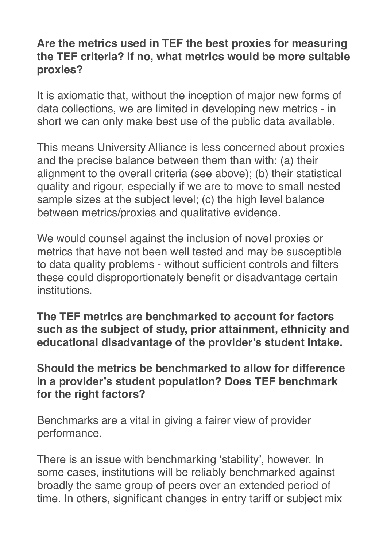### **Are the metrics used in TEF the best proxies for measuring the TEF criteria? If no, what metrics would be more suitable proxies?**

It is axiomatic that, without the inception of major new forms of data collections, we are limited in developing new metrics - in short we can only make best use of the public data available.

This means University Alliance is less concerned about proxies and the precise balance between them than with: (a) their alignment to the overall criteria (see above); (b) their statistical quality and rigour, especially if we are to move to small nested sample sizes at the subject level; (c) the high level balance between metrics/proxies and qualitative evidence.

We would counsel against the inclusion of novel proxies or metrics that have not been well tested and may be susceptible to data quality problems - without sufficient controls and filters these could disproportionately benefit or disadvantage certain institutions.

**The TEF metrics are benchmarked to account for factors such as the subject of study, prior attainment, ethnicity and educational disadvantage of the provider's student intake.**

**Should the metrics be benchmarked to allow for difference in a provider's student population? Does TEF benchmark for the right factors?**

Benchmarks are a vital in giving a fairer view of provider performance.

There is an issue with benchmarking 'stability', however. In some cases, institutions will be reliably benchmarked against broadly the same group of peers over an extended period of time. In others, significant changes in entry tariff or subject mix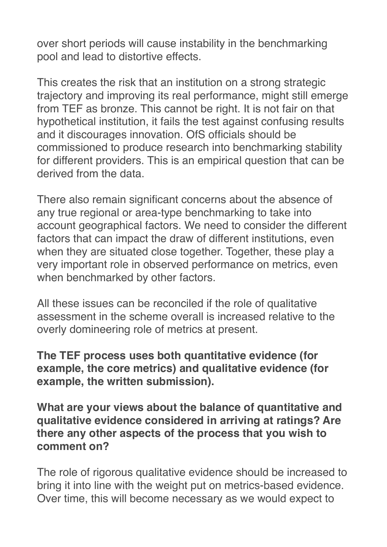over short periods will cause instability in the benchmarking pool and lead to distortive effects.

This creates the risk that an institution on a strong strategic trajectory and improving its real performance, might still emerge from TEF as bronze. This cannot be right. It is not fair on that hypothetical institution, it fails the test against confusing results and it discourages innovation. OfS officials should be commissioned to produce research into benchmarking stability for different providers. This is an empirical question that can be derived from the data.

There also remain significant concerns about the absence of any true regional or area-type benchmarking to take into account geographical factors. We need to consider the different factors that can impact the draw of different institutions, even when they are situated close together. Together, these play a very important role in observed performance on metrics, even when benchmarked by other factors.

All these issues can be reconciled if the role of qualitative assessment in the scheme overall is increased relative to the overly domineering role of metrics at present.

**The TEF process uses both quantitative evidence (for example, the core metrics) and qualitative evidence (for example, the written submission).**

**What are your views about the balance of quantitative and qualitative evidence considered in arriving at ratings? Are there any other aspects of the process that you wish to comment on?**

The role of rigorous qualitative evidence should be increased to bring it into line with the weight put on metrics-based evidence. Over time, this will become necessary as we would expect to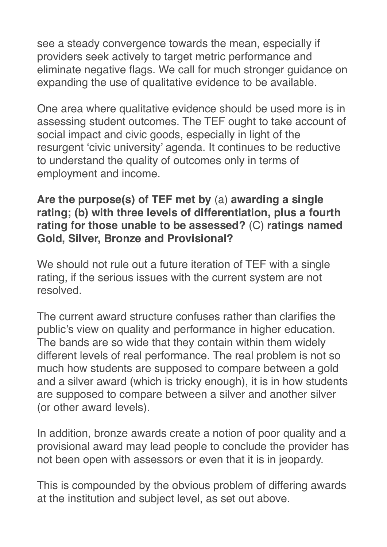see a steady convergence towards the mean, especially if providers seek actively to target metric performance and eliminate negative flags. We call for much stronger guidance on expanding the use of qualitative evidence to be available.

One area where qualitative evidence should be used more is in assessing student outcomes. The TEF ought to take account of social impact and civic goods, especially in light of the resurgent 'civic university' agenda. It continues to be reductive to understand the quality of outcomes only in terms of employment and income.

#### **Are the purpose(s) of TEF met by** (a) **awarding a single rating; (b) with three levels of differentiation, plus a fourth rating for those unable to be assessed?** (C) **ratings named Gold, Silver, Bronze and Provisional?**

We should not rule out a future iteration of TEF with a single rating, if the serious issues with the current system are not resolved.

The current award structure confuses rather than clarifies the public's view on quality and performance in higher education. The bands are so wide that they contain within them widely different levels of real performance. The real problem is not so much how students are supposed to compare between a gold and a silver award (which is tricky enough), it is in how students are supposed to compare between a silver and another silver (or other award levels).

In addition, bronze awards create a notion of poor quality and a provisional award may lead people to conclude the provider has not been open with assessors or even that it is in jeopardy.

This is compounded by the obvious problem of differing awards at the institution and subject level, as set out above.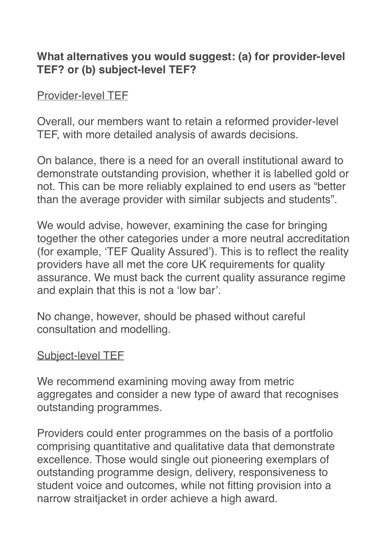## **What alternatives you would suggest: (a) for provider-level TEF? or (b) subject-level TEF?**

### Provider-level TEF

Overall, our members want to retain a reformed provider-level TEF, with more detailed analysis of awards decisions.

On balance, there is a need for an overall institutional award to demonstrate outstanding provision, whether it is labelled gold or not. This can be more reliably explained to end users as "better than the average provider with similar subjects and students".

We would advise, however, examining the case for bringing together the other categories under a more neutral accreditation (for example, 'TEF Quality Assured'). This is to reflect the reality providers have all met the core UK requirements for quality assurance. We must back the current quality assurance regime and explain that this is not a 'low bar'.

No change, however, should be phased without careful consultation and modelling.

### Subject-level TEF

We recommend examining moving away from metric aggregates and consider a new type of award that recognises outstanding programmes.

Providers could enter programmes on the basis of a portfolio comprising quantitative and qualitative data that demonstrate excellence. Those would single out pioneering exemplars of outstanding programme design, delivery, responsiveness to student voice and outcomes, while not fitting provision into a narrow straitjacket in order achieve a high award.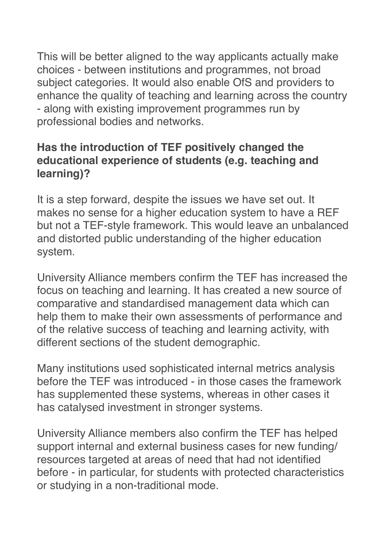This will be better aligned to the way applicants actually make choices - between institutions and programmes, not broad subject categories. It would also enable OfS and providers to enhance the quality of teaching and learning across the country - along with existing improvement programmes run by professional bodies and networks.

## **Has the introduction of TEF positively changed the educational experience of students (e.g. teaching and learning)?**

It is a step forward, despite the issues we have set out. It makes no sense for a higher education system to have a REF but not a TEF-style framework. This would leave an unbalanced and distorted public understanding of the higher education system.

University Alliance members confirm the TEF has increased the focus on teaching and learning. It has created a new source of comparative and standardised management data which can help them to make their own assessments of performance and of the relative success of teaching and learning activity, with different sections of the student demographic.

Many institutions used sophisticated internal metrics analysis before the TEF was introduced - in those cases the framework has supplemented these systems, whereas in other cases it has catalysed investment in stronger systems.

University Alliance members also confirm the TEF has helped support internal and external business cases for new funding/ resources targeted at areas of need that had not identified before - in particular, for students with protected characteristics or studying in a non-traditional mode.